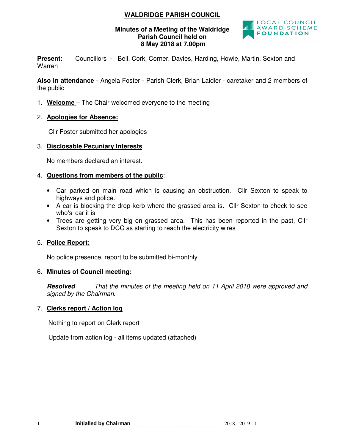# **WALDRIDGE PARISH COUNCIL**

#### **Minutes of a Meeting of the Waldridge Parish Council held on 8 May 2018 at 7.00pm**



Present: Councillors - Bell, Cork, Corner, Davies, Harding, Howie, Martin, Sexton and Warren

**Also in attendance** - Angela Foster - Parish Clerk, Brian Laidler - caretaker and 2 members of the public

1. **Welcome** – The Chair welcomed everyone to the meeting

## 2. **Apologies for Absence:**

Cllr Foster submitted her apologies

### 3. **Disclosable Pecuniary Interests**

No members declared an interest.

### 4. **Questions from members of the public**:

- Car parked on main road which is causing an obstruction. Cllr Sexton to speak to highways and police.
- A car is blocking the drop kerb where the grassed area is. Cllr Sexton to check to see who's car it is
- Trees are getting very big on grassed area. This has been reported in the past, Cllr Sexton to speak to DCC as starting to reach the electricity wires

### 5. **Police Report:**

No police presence, report to be submitted bi-monthly

### 6. **Minutes of Council meeting:**

**Resolved** *That the minutes of the meeting held on 11 April 2018 were approved and signed by the Chairman.* 

# 7. **Clerks report / Action log**

Nothing to report on Clerk report

Update from action log - all items updated (attached)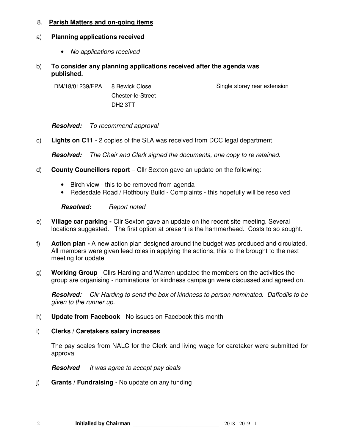### 8. **Parish Matters and on-going items**

## a) **Planning applications received**

- *No applications received*
- b) **To consider any planning applications received after the agenda was published.**

DM/18/01239/FPA 8 Bewick Close Chester-le-Street DH2 3TT

Single storey rear extension

**Resolved:** *To recommend approval* 

c) **Lights on C11** - 2 copies of the SLA was received from DCC legal department

**Resolved:** *The Chair and Clerk signed the documents, one copy to re retained.* 

- d) **County Councillors report** Cllr Sexton gave an update on the following:
	- Birch view this to be removed from agenda
	- Redesdale Road / Rothbury Build Complaints this hopefully will be resolved

**Resolved:** *Report noted* 

- e) **Village car parking** Cllr Sexton gave an update on the recent site meeting. Several locations suggested. The first option at present is the hammerhead. Costs to so sought.
- f) **Action plan** A new action plan designed around the budget was produced and circulated. All members were given lead roles in applying the actions, this to the brought to the next meeting for update
- g) **Working Group** Cllrs Harding and Warren updated the members on the activities the group are organising - nominations for kindness campaign were discussed and agreed on.

**Resolved:** *Cllr Harding to send the box of kindness to person nominated. Daffodils to be given to the runner up.* 

- h) **Update from Facebook**  No issues on Facebook this month
- i) **Clerks / Caretakers salary increases**

The pay scales from NALC for the Clerk and living wage for caretaker were submitted for approval

**Resolved** *It was agree to accept pay deals* 

j) **Grants / Fundraising** - No update on any funding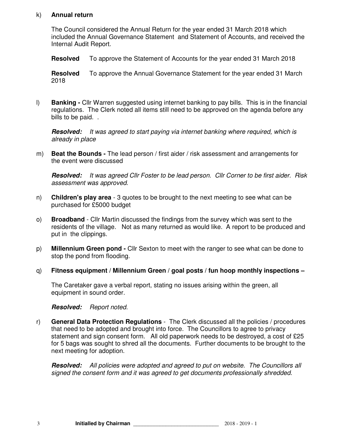#### k) **Annual return**

The Council considered the Annual Return for the year ended 31 March 2018 which included the Annual Governance Statement and Statement of Accounts, and received the Internal Audit Report.

**Resolved** To approve the Statement of Accounts for the year ended 31 March 2018

**Resolved** To approve the Annual Governance Statement for the year ended 31 March 2018

l) **Banking -** Cllr Warren suggested using internet banking to pay bills. This is in the financial regulations. The Clerk noted all items still need to be approved on the agenda before any bills to be paid...

**Resolved:** *It was agreed to start paying via internet banking where required, which is already in place* 

m) **Beat the Bounds -** The lead person / first aider / risk assessment and arrangements for the event were discussed

**Resolved:** *It was agreed Cllr Foster to be lead person. Cllr Corner to be first aider. Risk assessment was approved.*

- n) **Children's play area**  3 quotes to be brought to the next meeting to see what can be purchased for £5000 budget
- o) **Broadband**  Cllr Martin discussed the findings from the survey which was sent to the residents of the village. Not as many returned as would like. A report to be produced and put in the clippings.
- p) **Millennium Green pond** Cllr Sexton to meet with the ranger to see what can be done to stop the pond from flooding.
- q) **Fitness equipment / Millennium Green / goal posts / fun hoop monthly inspections**

The Caretaker gave a verbal report, stating no issues arising within the green, all equipment in sound order.

**Resolved:** *Report noted.* 

r) **General Data Protection Regulations** - The Clerk discussed all the policies / procedures that need to be adopted and brought into force. The Councillors to agree to privacy statement and sign consent form. All old paperwork needs to be destroyed, a cost of £25 for 5 bags was sought to shred all the documents. Further documents to be brought to the next meeting for adoption.

**Resolved:** *All policies were adopted and agreed to put on website. The Councillors all signed the consent form and it was agreed to get documents professionally shredded.*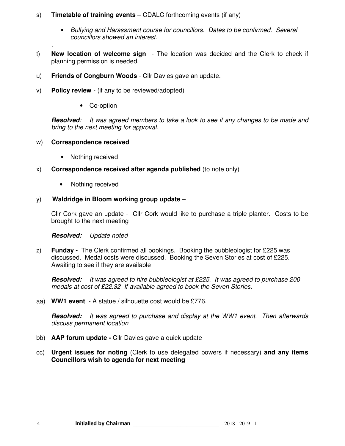### s) **Timetable of training events** – CDALC forthcoming events (if any)

- *Bullying and Harassment course for councillors. Dates to be confirmed. Several councillors showed an interest.*
- t) **New location of welcome sign**  The location was decided and the Clerk to check if planning permission is needed.
- u) **Friends of Congburn Woods**  Cllr Davies gave an update.
- v) **Policy review**  (if any to be reviewed/adopted)
	- Co-option

**Resolved***: It was agreed members to take a look to see if any changes to be made and bring to the next meeting for approval.* 

### w) **Correspondence received**

*.* 

- Nothing received
- x) **Correspondence received after agenda published** (to note only)
	- Nothing received

### y) **Waldridge in Bloom working group update –**

Cllr Cork gave an update - Cllr Cork would like to purchase a triple planter. Costs to be brought to the next meeting

**Resolved:** *Update noted* 

z) **Funday -** The Clerk confirmed all bookings. Booking the bubbleologist for £225 was discussed. Medal costs were discussed. Booking the Seven Stories at cost of £225. Awaiting to see if they are available

**Resolved:** *It was agreed to hire bubbleologist at £225. It was agreed to purchase 200 medals at cost of £22.32 If available agreed to book the Seven Stories.* 

aa) **WW1 event** - A statue / silhouette cost would be £776.

**Resolved:** *It was agreed to purchase and display at the WW1 event. Then afterwards discuss permanent location* 

- bb) **AAP forum update** Cllr Davies gave a quick update
- cc) **Urgent issues for noting** (Clerk to use delegated powers if necessary) **and any items Councillors wish to agenda for next meeting**